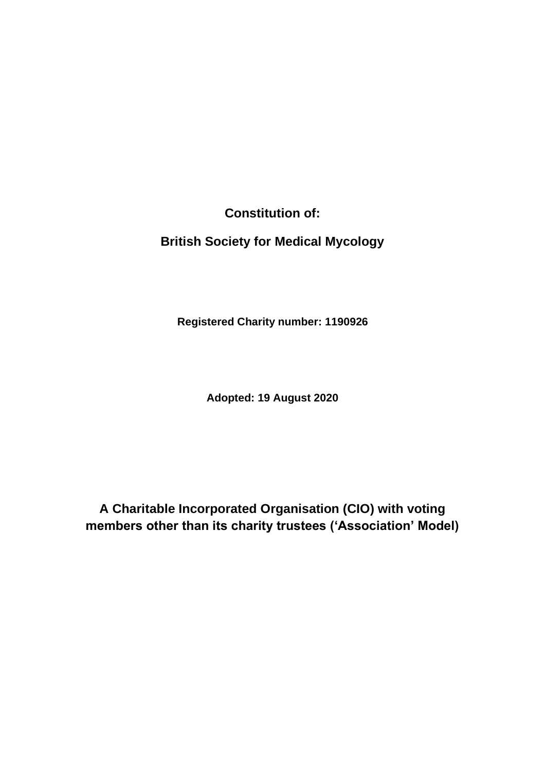**Constitution of:**

**British Society for Medical Mycology**

**Registered Charity number: 1190926**

**Adopted: 19 August 2020**

**A Charitable Incorporated Organisation (CIO) with voting members other than its charity trustees ('Association' Model)**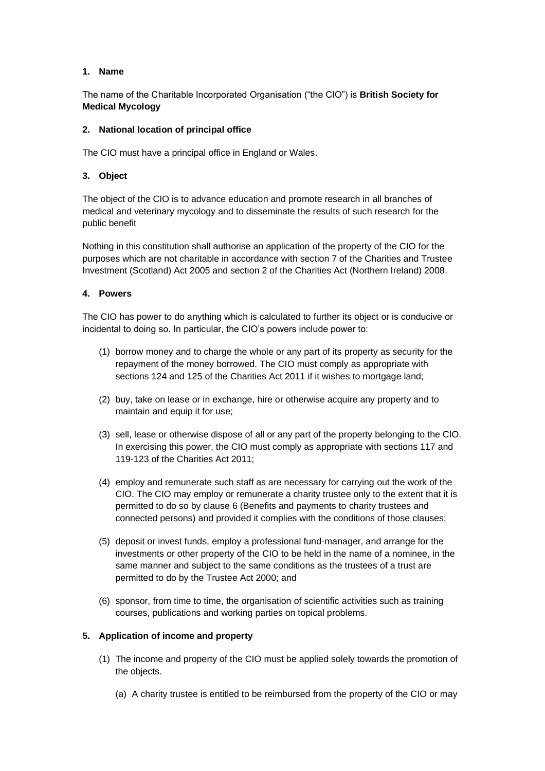# **1. Name**

The name of the Charitable Incorporated Organisation ("the CIO") is **British Society for Medical Mycology**

# **2. National location of principal office**

The CIO must have a principal office in England or Wales.

# **3. Object**

The object of the CIO is to advance education and promote research in all branches of medical and veterinary mycology and to disseminate the results of such research for the public benefit

Nothing in this constitution shall authorise an application of the property of the CIO for the purposes which are not charitable in accordance with section 7 of the Charities and Trustee Investment (Scotland) Act 2005 and section 2 of the Charities Act (Northern Ireland) 2008.

## **4. Powers**

The CIO has power to do anything which is calculated to further its object or is conducive or incidental to doing so. In particular, the CIO's powers include power to:

- (1) borrow money and to charge the whole or any part of its property as security for the repayment of the money borrowed. The CIO must comply as appropriate with sections 124 and 125 of the Charities Act 2011 if it wishes to mortgage land;
- (2) buy, take on lease or in exchange, hire or otherwise acquire any property and to maintain and equip it for use;
- (3) sell, lease or otherwise dispose of all or any part of the property belonging to the CIO. In exercising this power, the CIO must comply as appropriate with sections 117 and 119-123 of the Charities Act 2011;
- (4) employ and remunerate such staff as are necessary for carrying out the work of the CIO. The CIO may employ or remunerate a charity trustee only to the extent that it is permitted to do so by clause 6 (Benefits and payments to charity trustees and connected persons) and provided it complies with the conditions of those clauses;
- (5) deposit or invest funds, employ a professional fund-manager, and arrange for the investments or other property of the CIO to be held in the name of a nominee, in the same manner and subject to the same conditions as the trustees of a trust are permitted to do by the Trustee Act 2000; and
- (6) sponsor, from time to time, the organisation of scientific activities such as training courses, publications and working parties on topical problems.

## **5. Application of income and property**

- (1) The income and property of the CIO must be applied solely towards the promotion of the objects.
	- (a) A charity trustee is entitled to be reimbursed from the property of the CIO or may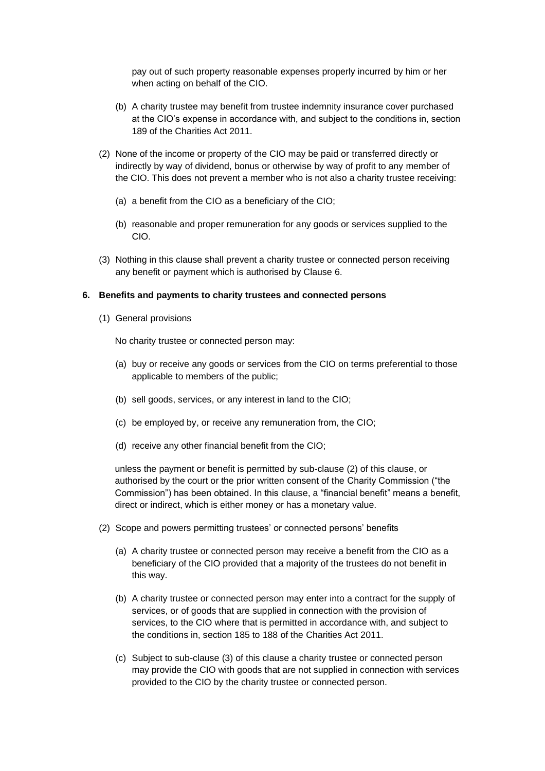pay out of such property reasonable expenses properly incurred by him or her when acting on behalf of the CIO.

- (b) A charity trustee may benefit from trustee indemnity insurance cover purchased at the CIO's expense in accordance with, and subject to the conditions in, section 189 of the Charities Act 2011.
- (2) None of the income or property of the CIO may be paid or transferred directly or indirectly by way of dividend, bonus or otherwise by way of profit to any member of the CIO. This does not prevent a member who is not also a charity trustee receiving:
	- (a) a benefit from the CIO as a beneficiary of the CIO;
	- (b) reasonable and proper remuneration for any goods or services supplied to the CIO.
- (3) Nothing in this clause shall prevent a charity trustee or connected person receiving any benefit or payment which is authorised by Clause 6.

#### **6. Benefits and payments to charity trustees and connected persons**

(1) General provisions

No charity trustee or connected person may:

- (a) buy or receive any goods or services from the CIO on terms preferential to those applicable to members of the public;
- (b) sell goods, services, or any interest in land to the CIO;
- (c) be employed by, or receive any remuneration from, the CIO;
- (d) receive any other financial benefit from the CIO;

unless the payment or benefit is permitted by sub-clause (2) of this clause, or authorised by the court or the prior written consent of the Charity Commission ("the Commission") has been obtained. In this clause, a "financial benefit" means a benefit, direct or indirect, which is either money or has a monetary value.

- (2) Scope and powers permitting trustees' or connected persons' benefits
	- (a) A charity trustee or connected person may receive a benefit from the CIO as a beneficiary of the CIO provided that a majority of the trustees do not benefit in this way.
	- (b) A charity trustee or connected person may enter into a contract for the supply of services, or of goods that are supplied in connection with the provision of services, to the CIO where that is permitted in accordance with, and subject to the conditions in, section 185 to 188 of the Charities Act 2011.
	- (c) Subject to sub-clause (3) of this clause a charity trustee or connected person may provide the CIO with goods that are not supplied in connection with services provided to the CIO by the charity trustee or connected person.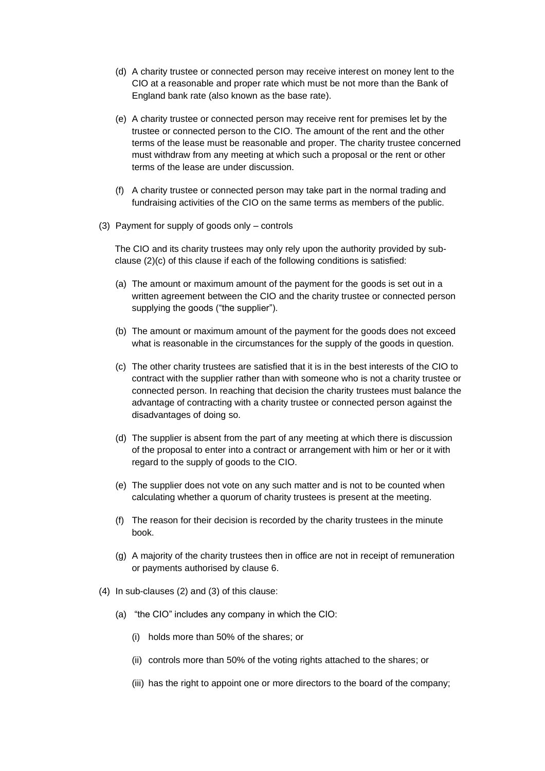- (d) A charity trustee or connected person may receive interest on money lent to the CIO at a reasonable and proper rate which must be not more than the Bank of England bank rate (also known as the base rate).
- (e) A charity trustee or connected person may receive rent for premises let by the trustee or connected person to the CIO. The amount of the rent and the other terms of the lease must be reasonable and proper. The charity trustee concerned must withdraw from any meeting at which such a proposal or the rent or other terms of the lease are under discussion.
- (f) A charity trustee or connected person may take part in the normal trading and fundraising activities of the CIO on the same terms as members of the public.
- (3) Payment for supply of goods only controls

The CIO and its charity trustees may only rely upon the authority provided by subclause (2)(c) of this clause if each of the following conditions is satisfied:

- (a) The amount or maximum amount of the payment for the goods is set out in a written agreement between the CIO and the charity trustee or connected person supplying the goods ("the supplier").
- (b) The amount or maximum amount of the payment for the goods does not exceed what is reasonable in the circumstances for the supply of the goods in question.
- (c) The other charity trustees are satisfied that it is in the best interests of the CIO to contract with the supplier rather than with someone who is not a charity trustee or connected person. In reaching that decision the charity trustees must balance the advantage of contracting with a charity trustee or connected person against the disadvantages of doing so.
- (d) The supplier is absent from the part of any meeting at which there is discussion of the proposal to enter into a contract or arrangement with him or her or it with regard to the supply of goods to the CIO.
- (e) The supplier does not vote on any such matter and is not to be counted when calculating whether a quorum of charity trustees is present at the meeting.
- (f) The reason for their decision is recorded by the charity trustees in the minute book.
- (g) A majority of the charity trustees then in office are not in receipt of remuneration or payments authorised by clause 6.
- (4) In sub-clauses (2) and (3) of this clause:
	- (a) "the CIO" includes any company in which the CIO:
		- (i) holds more than 50% of the shares; or
		- (ii) controls more than 50% of the voting rights attached to the shares; or
		- (iii) has the right to appoint one or more directors to the board of the company;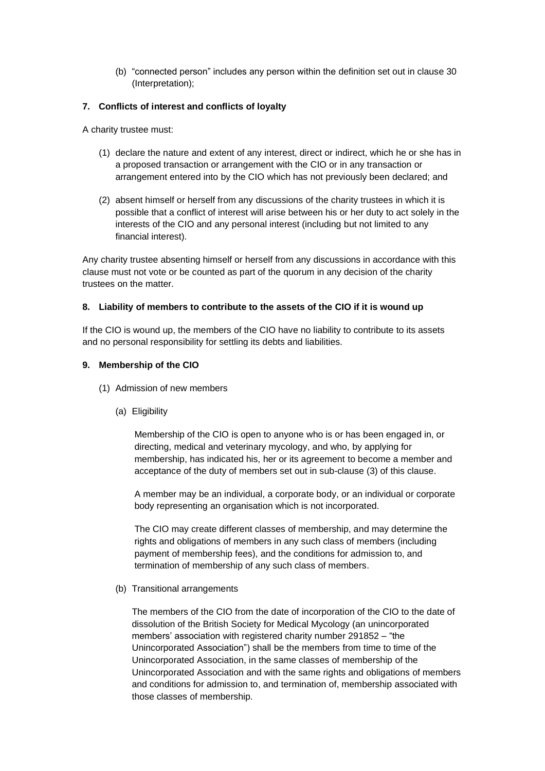(b) "connected person" includes any person within the definition set out in clause 30 (Interpretation);

# **7. Conflicts of interest and conflicts of loyalty**

A charity trustee must:

- (1) declare the nature and extent of any interest, direct or indirect, which he or she has in a proposed transaction or arrangement with the CIO or in any transaction or arrangement entered into by the CIO which has not previously been declared; and
- (2) absent himself or herself from any discussions of the charity trustees in which it is possible that a conflict of interest will arise between his or her duty to act solely in the interests of the CIO and any personal interest (including but not limited to any financial interest).

Any charity trustee absenting himself or herself from any discussions in accordance with this clause must not vote or be counted as part of the quorum in any decision of the charity trustees on the matter.

# **8. Liability of members to contribute to the assets of the CIO if it is wound up**

If the CIO is wound up, the members of the CIO have no liability to contribute to its assets and no personal responsibility for settling its debts and liabilities.

# **9. Membership of the CIO**

- (1) Admission of new members
	- (a) Eligibility

Membership of the CIO is open to anyone who is or has been engaged in, or directing, medical and veterinary mycology, and who, by applying for membership, has indicated his, her or its agreement to become a member and acceptance of the duty of members set out in sub-clause (3) of this clause.

A member may be an individual, a corporate body, or an individual or corporate body representing an organisation which is not incorporated.

The CIO may create different classes of membership, and may determine the rights and obligations of members in any such class of members (including payment of membership fees), and the conditions for admission to, and termination of membership of any such class of members.

(b) Transitional arrangements

The members of the CIO from the date of incorporation of the CIO to the date of dissolution of the British Society for Medical Mycology (an unincorporated members' association with registered charity number 291852 – "the Unincorporated Association") shall be the members from time to time of the Unincorporated Association, in the same classes of membership of the Unincorporated Association and with the same rights and obligations of members and conditions for admission to, and termination of, membership associated with those classes of membership.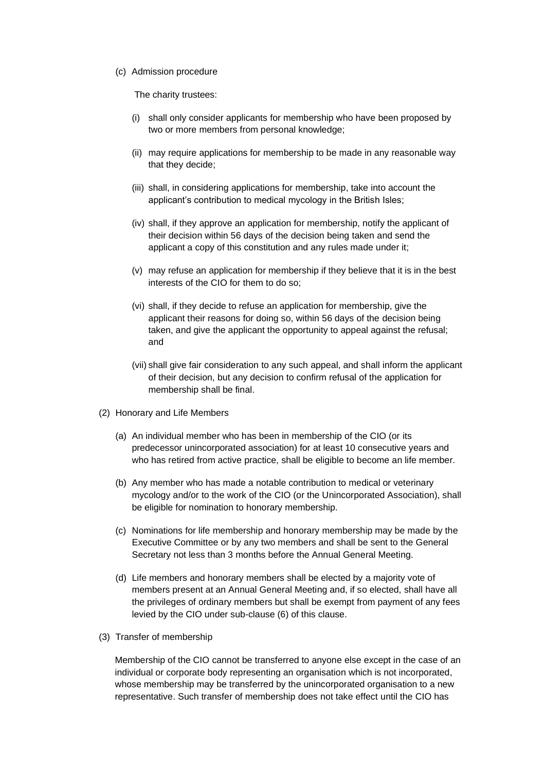(c) Admission procedure

The charity trustees:

- (i) shall only consider applicants for membership who have been proposed by two or more members from personal knowledge;
- (ii) may require applications for membership to be made in any reasonable way that they decide;
- (iii) shall, in considering applications for membership, take into account the applicant's contribution to medical mycology in the British Isles;
- (iv) shall, if they approve an application for membership, notify the applicant of their decision within 56 days of the decision being taken and send the applicant a copy of this constitution and any rules made under it;
- (v) may refuse an application for membership if they believe that it is in the best interests of the CIO for them to do so;
- (vi) shall, if they decide to refuse an application for membership, give the applicant their reasons for doing so, within 56 days of the decision being taken, and give the applicant the opportunity to appeal against the refusal; and
- (vii) shall give fair consideration to any such appeal, and shall inform the applicant of their decision, but any decision to confirm refusal of the application for membership shall be final.
- (2) Honorary and Life Members
	- (a) An individual member who has been in membership of the CIO (or its predecessor unincorporated association) for at least 10 consecutive years and who has retired from active practice, shall be eligible to become an life member.
	- (b) Any member who has made a notable contribution to medical or veterinary mycology and/or to the work of the CIO (or the Unincorporated Association), shall be eligible for nomination to honorary membership.
	- (c) Nominations for life membership and honorary membership may be made by the Executive Committee or by any two members and shall be sent to the General Secretary not less than 3 months before the Annual General Meeting.
	- (d) Life members and honorary members shall be elected by a majority vote of members present at an Annual General Meeting and, if so elected, shall have all the privileges of ordinary members but shall be exempt from payment of any fees levied by the CIO under sub-clause (6) of this clause.
- (3) Transfer of membership

Membership of the CIO cannot be transferred to anyone else except in the case of an individual or corporate body representing an organisation which is not incorporated, whose membership may be transferred by the unincorporated organisation to a new representative. Such transfer of membership does not take effect until the CIO has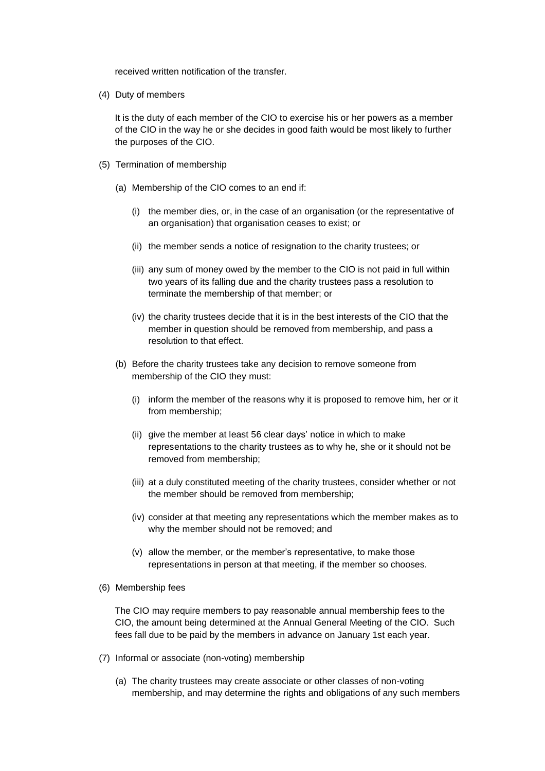received written notification of the transfer.

(4) Duty of members

It is the duty of each member of the CIO to exercise his or her powers as a member of the CIO in the way he or she decides in good faith would be most likely to further the purposes of the CIO.

- (5) Termination of membership
	- (a) Membership of the CIO comes to an end if:
		- (i) the member dies, or, in the case of an organisation (or the representative of an organisation) that organisation ceases to exist; or
		- (ii) the member sends a notice of resignation to the charity trustees; or
		- (iii) any sum of money owed by the member to the CIO is not paid in full within two years of its falling due and the charity trustees pass a resolution to terminate the membership of that member; or
		- (iv) the charity trustees decide that it is in the best interests of the CIO that the member in question should be removed from membership, and pass a resolution to that effect.
	- (b) Before the charity trustees take any decision to remove someone from membership of the CIO they must:
		- (i) inform the member of the reasons why it is proposed to remove him, her or it from membership;
		- (ii) give the member at least 56 clear days' notice in which to make representations to the charity trustees as to why he, she or it should not be removed from membership;
		- (iii) at a duly constituted meeting of the charity trustees, consider whether or not the member should be removed from membership;
		- (iv) consider at that meeting any representations which the member makes as to why the member should not be removed; and
		- (v) allow the member, or the member's representative, to make those representations in person at that meeting, if the member so chooses.
- (6) Membership fees

The CIO may require members to pay reasonable annual membership fees to the CIO, the amount being determined at the Annual General Meeting of the CIO. Such fees fall due to be paid by the members in advance on January 1st each year.

- (7) Informal or associate (non-voting) membership
	- (a) The charity trustees may create associate or other classes of non-voting membership, and may determine the rights and obligations of any such members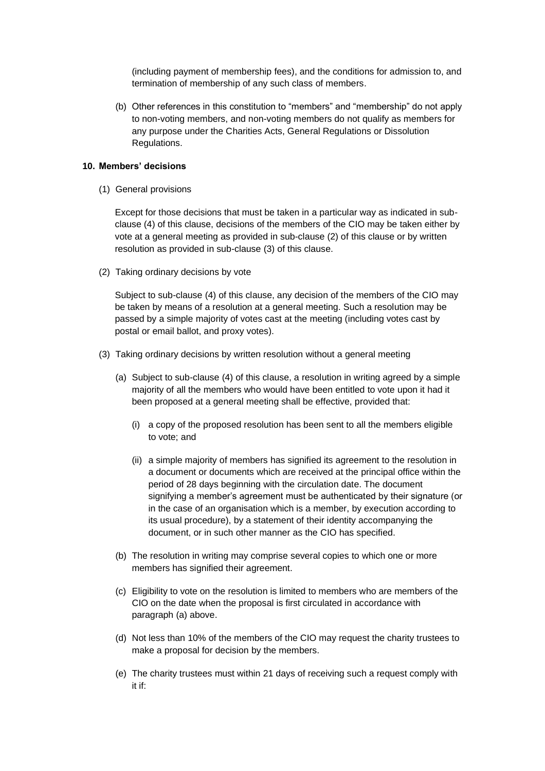(including payment of membership fees), and the conditions for admission to, and termination of membership of any such class of members.

(b) Other references in this constitution to "members" and "membership" do not apply to non-voting members, and non-voting members do not qualify as members for any purpose under the Charities Acts, General Regulations or Dissolution Regulations.

## **10. Members' decisions**

(1) General provisions

Except for those decisions that must be taken in a particular way as indicated in subclause (4) of this clause, decisions of the members of the CIO may be taken either by vote at a general meeting as provided in sub-clause (2) of this clause or by written resolution as provided in sub-clause (3) of this clause.

(2) Taking ordinary decisions by vote

Subject to sub-clause (4) of this clause, any decision of the members of the CIO may be taken by means of a resolution at a general meeting. Such a resolution may be passed by a simple majority of votes cast at the meeting (including votes cast by postal or email ballot, and proxy votes).

- (3) Taking ordinary decisions by written resolution without a general meeting
	- (a) Subject to sub-clause (4) of this clause, a resolution in writing agreed by a simple majority of all the members who would have been entitled to vote upon it had it been proposed at a general meeting shall be effective, provided that:
		- (i) a copy of the proposed resolution has been sent to all the members eligible to vote; and
		- (ii) a simple majority of members has signified its agreement to the resolution in a document or documents which are received at the principal office within the period of 28 days beginning with the circulation date. The document signifying a member's agreement must be authenticated by their signature (or in the case of an organisation which is a member, by execution according to its usual procedure), by a statement of their identity accompanying the document, or in such other manner as the CIO has specified.
	- (b) The resolution in writing may comprise several copies to which one or more members has signified their agreement.
	- (c) Eligibility to vote on the resolution is limited to members who are members of the CIO on the date when the proposal is first circulated in accordance with paragraph (a) above.
	- (d) Not less than 10% of the members of the CIO may request the charity trustees to make a proposal for decision by the members.
	- (e) The charity trustees must within 21 days of receiving such a request comply with it if: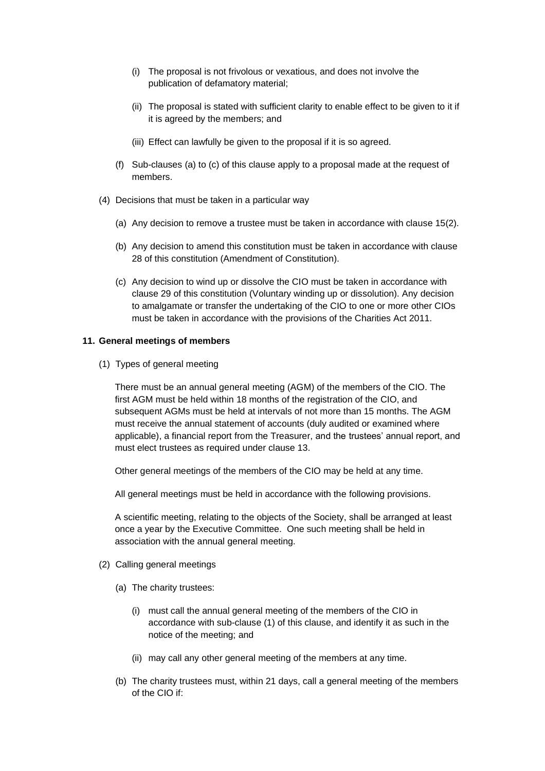- (i) The proposal is not frivolous or vexatious, and does not involve the publication of defamatory material;
- (ii) The proposal is stated with sufficient clarity to enable effect to be given to it if it is agreed by the members; and
- (iii) Effect can lawfully be given to the proposal if it is so agreed.
- (f) Sub-clauses (a) to (c) of this clause apply to a proposal made at the request of members.
- (4) Decisions that must be taken in a particular way
	- (a) Any decision to remove a trustee must be taken in accordance with clause 15(2).
	- (b) Any decision to amend this constitution must be taken in accordance with clause 28 of this constitution (Amendment of Constitution).
	- (c) Any decision to wind up or dissolve the CIO must be taken in accordance with clause 29 of this constitution (Voluntary winding up or dissolution). Any decision to amalgamate or transfer the undertaking of the CIO to one or more other CIOs must be taken in accordance with the provisions of the Charities Act 2011.

#### **11. General meetings of members**

(1) Types of general meeting

There must be an annual general meeting (AGM) of the members of the CIO. The first AGM must be held within 18 months of the registration of the CIO, and subsequent AGMs must be held at intervals of not more than 15 months. The AGM must receive the annual statement of accounts (duly audited or examined where applicable), a financial report from the Treasurer, and the trustees' annual report, and must elect trustees as required under clause 13.

Other general meetings of the members of the CIO may be held at any time.

All general meetings must be held in accordance with the following provisions.

A scientific meeting, relating to the objects of the Society, shall be arranged at least once a year by the Executive Committee. One such meeting shall be held in association with the annual general meeting.

- (2) Calling general meetings
	- (a) The charity trustees:
		- (i) must call the annual general meeting of the members of the CIO in accordance with sub-clause (1) of this clause, and identify it as such in the notice of the meeting; and
		- (ii) may call any other general meeting of the members at any time.
	- (b) The charity trustees must, within 21 days, call a general meeting of the members of the CIO if: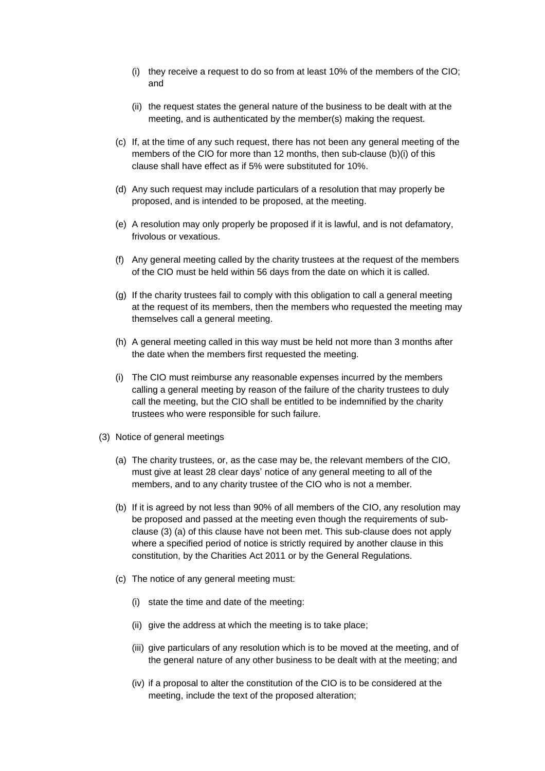- (i) they receive a request to do so from at least 10% of the members of the CIO; and
- (ii) the request states the general nature of the business to be dealt with at the meeting, and is authenticated by the member(s) making the request.
- (c) If, at the time of any such request, there has not been any general meeting of the members of the CIO for more than 12 months, then sub-clause (b)(i) of this clause shall have effect as if 5% were substituted for 10%.
- (d) Any such request may include particulars of a resolution that may properly be proposed, and is intended to be proposed, at the meeting.
- (e) A resolution may only properly be proposed if it is lawful, and is not defamatory, frivolous or vexatious.
- (f) Any general meeting called by the charity trustees at the request of the members of the CIO must be held within 56 days from the date on which it is called.
- (g) If the charity trustees fail to comply with this obligation to call a general meeting at the request of its members, then the members who requested the meeting may themselves call a general meeting.
- (h) A general meeting called in this way must be held not more than 3 months after the date when the members first requested the meeting.
- (i) The CIO must reimburse any reasonable expenses incurred by the members calling a general meeting by reason of the failure of the charity trustees to duly call the meeting, but the CIO shall be entitled to be indemnified by the charity trustees who were responsible for such failure.
- (3) Notice of general meetings
	- (a) The charity trustees, or, as the case may be, the relevant members of the CIO, must give at least 28 clear days' notice of any general meeting to all of the members, and to any charity trustee of the CIO who is not a member.
	- (b) If it is agreed by not less than 90% of all members of the CIO, any resolution may be proposed and passed at the meeting even though the requirements of subclause (3) (a) of this clause have not been met. This sub-clause does not apply where a specified period of notice is strictly required by another clause in this constitution, by the Charities Act 2011 or by the General Regulations.
	- (c) The notice of any general meeting must:
		- (i) state the time and date of the meeting:
		- (ii) give the address at which the meeting is to take place;
		- (iii) give particulars of any resolution which is to be moved at the meeting, and of the general nature of any other business to be dealt with at the meeting; and
		- (iv) if a proposal to alter the constitution of the CIO is to be considered at the meeting, include the text of the proposed alteration;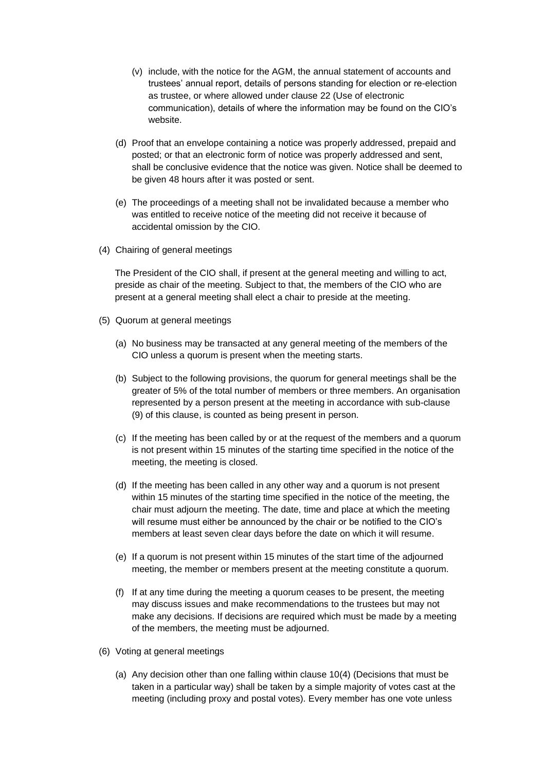- (v) include, with the notice for the AGM, the annual statement of accounts and trustees' annual report, details of persons standing for election or re-election as trustee, or where allowed under clause 22 (Use of electronic communication), details of where the information may be found on the CIO's website.
- (d) Proof that an envelope containing a notice was properly addressed, prepaid and posted; or that an electronic form of notice was properly addressed and sent, shall be conclusive evidence that the notice was given. Notice shall be deemed to be given 48 hours after it was posted or sent.
- (e) The proceedings of a meeting shall not be invalidated because a member who was entitled to receive notice of the meeting did not receive it because of accidental omission by the CIO.
- (4) Chairing of general meetings

The President of the CIO shall, if present at the general meeting and willing to act, preside as chair of the meeting. Subject to that, the members of the CIO who are present at a general meeting shall elect a chair to preside at the meeting.

- (5) Quorum at general meetings
	- (a) No business may be transacted at any general meeting of the members of the CIO unless a quorum is present when the meeting starts.
	- (b) Subject to the following provisions, the quorum for general meetings shall be the greater of 5% of the total number of members or three members. An organisation represented by a person present at the meeting in accordance with sub-clause (9) of this clause, is counted as being present in person.
	- (c) If the meeting has been called by or at the request of the members and a quorum is not present within 15 minutes of the starting time specified in the notice of the meeting, the meeting is closed.
	- (d) If the meeting has been called in any other way and a quorum is not present within 15 minutes of the starting time specified in the notice of the meeting, the chair must adjourn the meeting. The date, time and place at which the meeting will resume must either be announced by the chair or be notified to the CIO's members at least seven clear days before the date on which it will resume.
	- (e) If a quorum is not present within 15 minutes of the start time of the adjourned meeting, the member or members present at the meeting constitute a quorum.
	- (f) If at any time during the meeting a quorum ceases to be present, the meeting may discuss issues and make recommendations to the trustees but may not make any decisions. If decisions are required which must be made by a meeting of the members, the meeting must be adjourned.
- (6) Voting at general meetings
	- (a) Any decision other than one falling within clause 10(4) (Decisions that must be taken in a particular way) shall be taken by a simple majority of votes cast at the meeting (including proxy and postal votes). Every member has one vote unless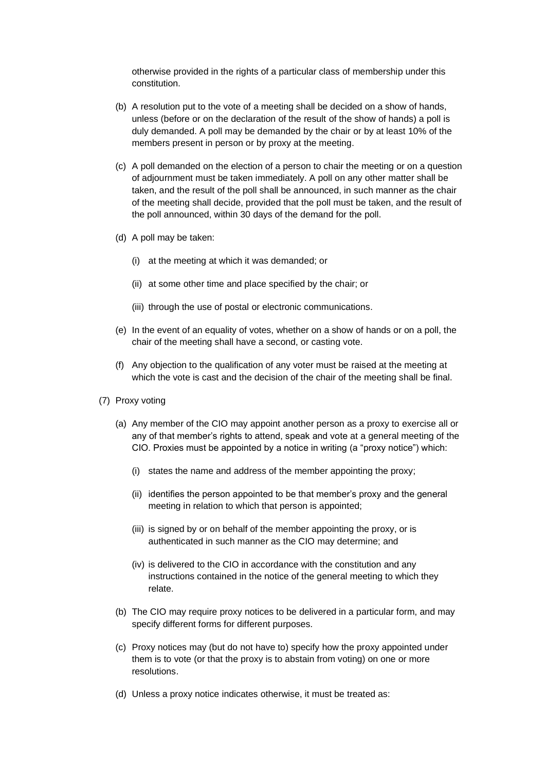otherwise provided in the rights of a particular class of membership under this constitution.

- (b) A resolution put to the vote of a meeting shall be decided on a show of hands, unless (before or on the declaration of the result of the show of hands) a poll is duly demanded. A poll may be demanded by the chair or by at least 10% of the members present in person or by proxy at the meeting.
- (c) A poll demanded on the election of a person to chair the meeting or on a question of adjournment must be taken immediately. A poll on any other matter shall be taken, and the result of the poll shall be announced, in such manner as the chair of the meeting shall decide, provided that the poll must be taken, and the result of the poll announced, within 30 days of the demand for the poll.
- (d) A poll may be taken:
	- (i) at the meeting at which it was demanded; or
	- (ii) at some other time and place specified by the chair; or
	- (iii) through the use of postal or electronic communications.
- (e) In the event of an equality of votes, whether on a show of hands or on a poll, the chair of the meeting shall have a second, or casting vote.
- (f) Any objection to the qualification of any voter must be raised at the meeting at which the vote is cast and the decision of the chair of the meeting shall be final.
- (7) Proxy voting
	- (a) Any member of the CIO may appoint another person as a proxy to exercise all or any of that member's rights to attend, speak and vote at a general meeting of the CIO. Proxies must be appointed by a notice in writing (a "proxy notice") which:
		- (i) states the name and address of the member appointing the proxy;
		- (ii) identifies the person appointed to be that member's proxy and the general meeting in relation to which that person is appointed;
		- (iii) is signed by or on behalf of the member appointing the proxy, or is authenticated in such manner as the CIO may determine; and
		- (iv) is delivered to the CIO in accordance with the constitution and any instructions contained in the notice of the general meeting to which they relate.
	- (b) The CIO may require proxy notices to be delivered in a particular form, and may specify different forms for different purposes.
	- (c) Proxy notices may (but do not have to) specify how the proxy appointed under them is to vote (or that the proxy is to abstain from voting) on one or more resolutions.
	- (d) Unless a proxy notice indicates otherwise, it must be treated as: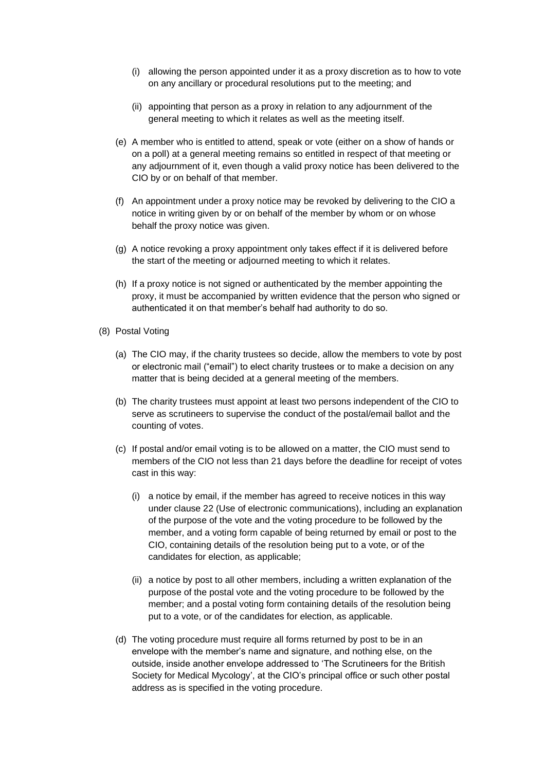- (i) allowing the person appointed under it as a proxy discretion as to how to vote on any ancillary or procedural resolutions put to the meeting; and
- (ii) appointing that person as a proxy in relation to any adjournment of the general meeting to which it relates as well as the meeting itself.
- (e) A member who is entitled to attend, speak or vote (either on a show of hands or on a poll) at a general meeting remains so entitled in respect of that meeting or any adjournment of it, even though a valid proxy notice has been delivered to the CIO by or on behalf of that member.
- (f) An appointment under a proxy notice may be revoked by delivering to the CIO a notice in writing given by or on behalf of the member by whom or on whose behalf the proxy notice was given.
- (g) A notice revoking a proxy appointment only takes effect if it is delivered before the start of the meeting or adjourned meeting to which it relates.
- (h) If a proxy notice is not signed or authenticated by the member appointing the proxy, it must be accompanied by written evidence that the person who signed or authenticated it on that member's behalf had authority to do so.
- (8) Postal Voting
	- (a) The CIO may, if the charity trustees so decide, allow the members to vote by post or electronic mail ("email") to elect charity trustees or to make a decision on any matter that is being decided at a general meeting of the members.
	- (b) The charity trustees must appoint at least two persons independent of the CIO to serve as scrutineers to supervise the conduct of the postal/email ballot and the counting of votes.
	- (c) If postal and/or email voting is to be allowed on a matter, the CIO must send to members of the CIO not less than 21 days before the deadline for receipt of votes cast in this way:
		- (i) a notice by email, if the member has agreed to receive notices in this way under clause 22 (Use of electronic communications), including an explanation of the purpose of the vote and the voting procedure to be followed by the member, and a voting form capable of being returned by email or post to the CIO, containing details of the resolution being put to a vote, or of the candidates for election, as applicable;
		- (ii) a notice by post to all other members, including a written explanation of the purpose of the postal vote and the voting procedure to be followed by the member; and a postal voting form containing details of the resolution being put to a vote, or of the candidates for election, as applicable.
	- (d) The voting procedure must require all forms returned by post to be in an envelope with the member's name and signature, and nothing else, on the outside, inside another envelope addressed to 'The Scrutineers for the British Society for Medical Mycology', at the CIO's principal office or such other postal address as is specified in the voting procedure.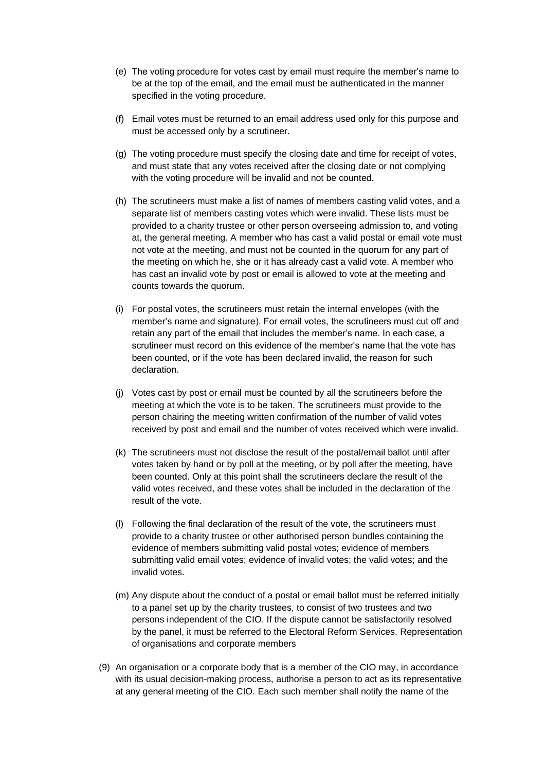- (e) The voting procedure for votes cast by email must require the member's name to be at the top of the email, and the email must be authenticated in the manner specified in the voting procedure.
- (f) Email votes must be returned to an email address used only for this purpose and must be accessed only by a scrutineer.
- (g) The voting procedure must specify the closing date and time for receipt of votes, and must state that any votes received after the closing date or not complying with the voting procedure will be invalid and not be counted.
- (h) The scrutineers must make a list of names of members casting valid votes, and a separate list of members casting votes which were invalid. These lists must be provided to a charity trustee or other person overseeing admission to, and voting at, the general meeting. A member who has cast a valid postal or email vote must not vote at the meeting, and must not be counted in the quorum for any part of the meeting on which he, she or it has already cast a valid vote. A member who has cast an invalid vote by post or email is allowed to vote at the meeting and counts towards the quorum.
- (i) For postal votes, the scrutineers must retain the internal envelopes (with the member's name and signature). For email votes, the scrutineers must cut off and retain any part of the email that includes the member's name. In each case, a scrutineer must record on this evidence of the member's name that the vote has been counted, or if the vote has been declared invalid, the reason for such declaration.
- (j) Votes cast by post or email must be counted by all the scrutineers before the meeting at which the vote is to be taken. The scrutineers must provide to the person chairing the meeting written confirmation of the number of valid votes received by post and email and the number of votes received which were invalid.
- (k) The scrutineers must not disclose the result of the postal/email ballot until after votes taken by hand or by poll at the meeting, or by poll after the meeting, have been counted. Only at this point shall the scrutineers declare the result of the valid votes received, and these votes shall be included in the declaration of the result of the vote.
- (l) Following the final declaration of the result of the vote, the scrutineers must provide to a charity trustee or other authorised person bundles containing the evidence of members submitting valid postal votes; evidence of members submitting valid email votes; evidence of invalid votes; the valid votes; and the invalid votes.
- (m) Any dispute about the conduct of a postal or email ballot must be referred initially to a panel set up by the charity trustees, to consist of two trustees and two persons independent of the CIO. If the dispute cannot be satisfactorily resolved by the panel, it must be referred to the Electoral Reform Services. Representation of organisations and corporate members
- (9) An organisation or a corporate body that is a member of the CIO may, in accordance with its usual decision-making process, authorise a person to act as its representative at any general meeting of the CIO. Each such member shall notify the name of the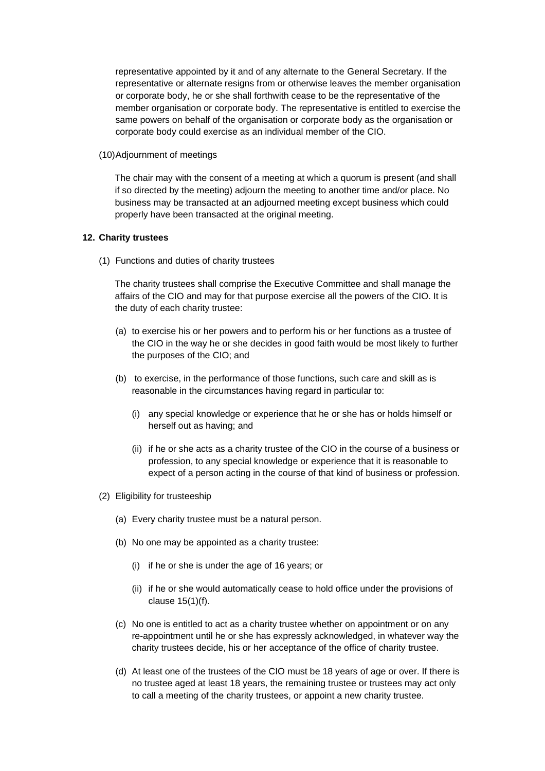representative appointed by it and of any alternate to the General Secretary. If the representative or alternate resigns from or otherwise leaves the member organisation or corporate body, he or she shall forthwith cease to be the representative of the member organisation or corporate body. The representative is entitled to exercise the same powers on behalf of the organisation or corporate body as the organisation or corporate body could exercise as an individual member of the CIO.

(10)Adjournment of meetings

The chair may with the consent of a meeting at which a quorum is present (and shall if so directed by the meeting) adjourn the meeting to another time and/or place. No business may be transacted at an adjourned meeting except business which could properly have been transacted at the original meeting.

#### **12. Charity trustees**

(1) Functions and duties of charity trustees

The charity trustees shall comprise the Executive Committee and shall manage the affairs of the CIO and may for that purpose exercise all the powers of the CIO. It is the duty of each charity trustee:

- (a) to exercise his or her powers and to perform his or her functions as a trustee of the CIO in the way he or she decides in good faith would be most likely to further the purposes of the CIO; and
- (b) to exercise, in the performance of those functions, such care and skill as is reasonable in the circumstances having regard in particular to:
	- (i) any special knowledge or experience that he or she has or holds himself or herself out as having; and
	- (ii) if he or she acts as a charity trustee of the CIO in the course of a business or profession, to any special knowledge or experience that it is reasonable to expect of a person acting in the course of that kind of business or profession.
- (2) Eligibility for trusteeship
	- (a) Every charity trustee must be a natural person.
	- (b) No one may be appointed as a charity trustee:
		- (i) if he or she is under the age of 16 years; or
		- (ii) if he or she would automatically cease to hold office under the provisions of clause 15(1)(f).
	- (c) No one is entitled to act as a charity trustee whether on appointment or on any re-appointment until he or she has expressly acknowledged, in whatever way the charity trustees decide, his or her acceptance of the office of charity trustee.
	- (d) At least one of the trustees of the CIO must be 18 years of age or over. If there is no trustee aged at least 18 years, the remaining trustee or trustees may act only to call a meeting of the charity trustees, or appoint a new charity trustee.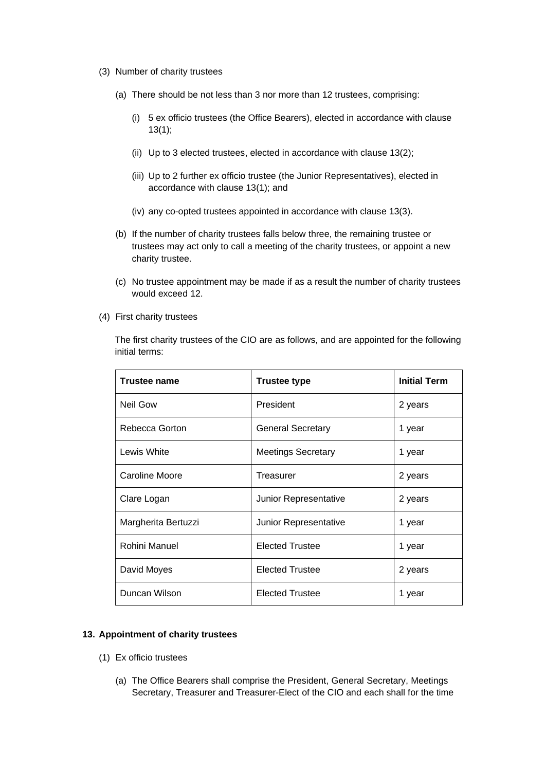- (3) Number of charity trustees
	- (a) There should be not less than 3 nor more than 12 trustees, comprising:
		- (i) 5 ex officio trustees (the Office Bearers), elected in accordance with clause 13(1);
		- (ii) Up to 3 elected trustees, elected in accordance with clause 13(2);
		- (iii) Up to 2 further ex officio trustee (the Junior Representatives), elected in accordance with clause 13(1); and
		- (iv) any co-opted trustees appointed in accordance with clause 13(3).
	- (b) If the number of charity trustees falls below three, the remaining trustee or trustees may act only to call a meeting of the charity trustees, or appoint a new charity trustee.
	- (c) No trustee appointment may be made if as a result the number of charity trustees would exceed 12.
- (4) First charity trustees

The first charity trustees of the CIO are as follows, and are appointed for the following initial terms:

| <b>Trustee name</b> | <b>Trustee type</b>       | <b>Initial Term</b> |
|---------------------|---------------------------|---------------------|
| Neil Gow            | President                 | 2 years             |
| Rebecca Gorton      | <b>General Secretary</b>  | 1 year              |
| Lewis White         | <b>Meetings Secretary</b> | 1 year              |
| Caroline Moore      | Treasurer                 | 2 years             |
| Clare Logan         | Junior Representative     | 2 years             |
| Margherita Bertuzzi | Junior Representative     | 1 year              |
| Rohini Manuel       | <b>Elected Trustee</b>    | 1 year              |
| David Moyes         | <b>Elected Trustee</b>    | 2 years             |
| Duncan Wilson       | <b>Elected Trustee</b>    | 1 year              |

#### **13. Appointment of charity trustees**

- (1) Ex officio trustees
	- (a) The Office Bearers shall comprise the President, General Secretary, Meetings Secretary, Treasurer and Treasurer-Elect of the CIO and each shall for the time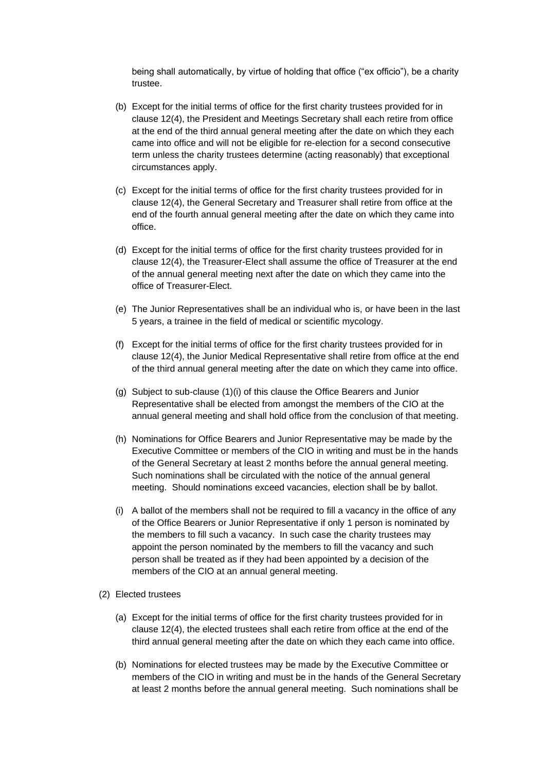being shall automatically, by virtue of holding that office ("ex officio"), be a charity trustee.

- (b) Except for the initial terms of office for the first charity trustees provided for in clause 12(4), the President and Meetings Secretary shall each retire from office at the end of the third annual general meeting after the date on which they each came into office and will not be eligible for re-election for a second consecutive term unless the charity trustees determine (acting reasonably) that exceptional circumstances apply.
- (c) Except for the initial terms of office for the first charity trustees provided for in clause 12(4), the General Secretary and Treasurer shall retire from office at the end of the fourth annual general meeting after the date on which they came into office.
- (d) Except for the initial terms of office for the first charity trustees provided for in clause 12(4), the Treasurer-Elect shall assume the office of Treasurer at the end of the annual general meeting next after the date on which they came into the office of Treasurer-Elect.
- (e) The Junior Representatives shall be an individual who is, or have been in the last 5 years, a trainee in the field of medical or scientific mycology.
- (f) Except for the initial terms of office for the first charity trustees provided for in clause 12(4), the Junior Medical Representative shall retire from office at the end of the third annual general meeting after the date on which they came into office.
- (g) Subject to sub-clause (1)(i) of this clause the Office Bearers and Junior Representative shall be elected from amongst the members of the CIO at the annual general meeting and shall hold office from the conclusion of that meeting.
- (h) Nominations for Office Bearers and Junior Representative may be made by the Executive Committee or members of the CIO in writing and must be in the hands of the General Secretary at least 2 months before the annual general meeting. Such nominations shall be circulated with the notice of the annual general meeting. Should nominations exceed vacancies, election shall be by ballot.
- (i) A ballot of the members shall not be required to fill a vacancy in the office of any of the Office Bearers or Junior Representative if only 1 person is nominated by the members to fill such a vacancy. In such case the charity trustees may appoint the person nominated by the members to fill the vacancy and such person shall be treated as if they had been appointed by a decision of the members of the CIO at an annual general meeting.
- (2) Elected trustees
	- (a) Except for the initial terms of office for the first charity trustees provided for in clause 12(4), the elected trustees shall each retire from office at the end of the third annual general meeting after the date on which they each came into office.
	- (b) Nominations for elected trustees may be made by the Executive Committee or members of the CIO in writing and must be in the hands of the General Secretary at least 2 months before the annual general meeting. Such nominations shall be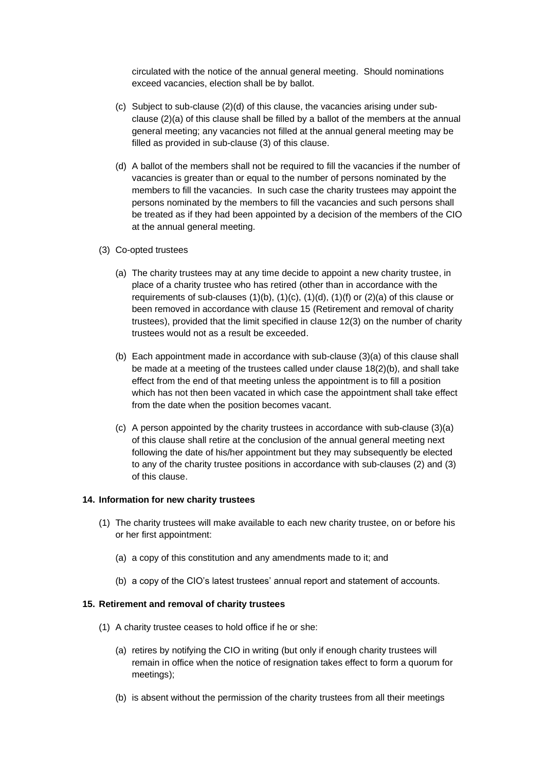circulated with the notice of the annual general meeting. Should nominations exceed vacancies, election shall be by ballot.

- (c) Subject to sub-clause (2)(d) of this clause, the vacancies arising under subclause  $(2)(a)$  of this clause shall be filled by a ballot of the members at the annual general meeting; any vacancies not filled at the annual general meeting may be filled as provided in sub-clause (3) of this clause.
- (d) A ballot of the members shall not be required to fill the vacancies if the number of vacancies is greater than or equal to the number of persons nominated by the members to fill the vacancies. In such case the charity trustees may appoint the persons nominated by the members to fill the vacancies and such persons shall be treated as if they had been appointed by a decision of the members of the CIO at the annual general meeting.
- (3) Co-opted trustees
	- (a) The charity trustees may at any time decide to appoint a new charity trustee, in place of a charity trustee who has retired (other than in accordance with the requirements of sub-clauses  $(1)(b)$ ,  $(1)(c)$ ,  $(1)(d)$ ,  $(1)(f)$  or  $(2)(a)$  of this clause or been removed in accordance with clause 15 (Retirement and removal of charity trustees), provided that the limit specified in clause 12(3) on the number of charity trustees would not as a result be exceeded.
	- (b) Each appointment made in accordance with sub-clause (3)(a) of this clause shall be made at a meeting of the trustees called under clause 18(2)(b), and shall take effect from the end of that meeting unless the appointment is to fill a position which has not then been vacated in which case the appointment shall take effect from the date when the position becomes vacant.
	- (c) A person appointed by the charity trustees in accordance with sub-clause (3)(a) of this clause shall retire at the conclusion of the annual general meeting next following the date of his/her appointment but they may subsequently be elected to any of the charity trustee positions in accordance with sub-clauses (2) and (3) of this clause.

## **14. Information for new charity trustees**

- (1) The charity trustees will make available to each new charity trustee, on or before his or her first appointment:
	- (a) a copy of this constitution and any amendments made to it; and
	- (b) a copy of the CIO's latest trustees' annual report and statement of accounts.

## **15. Retirement and removal of charity trustees**

- (1) A charity trustee ceases to hold office if he or she:
	- (a) retires by notifying the CIO in writing (but only if enough charity trustees will remain in office when the notice of resignation takes effect to form a quorum for meetings);
	- (b) is absent without the permission of the charity trustees from all their meetings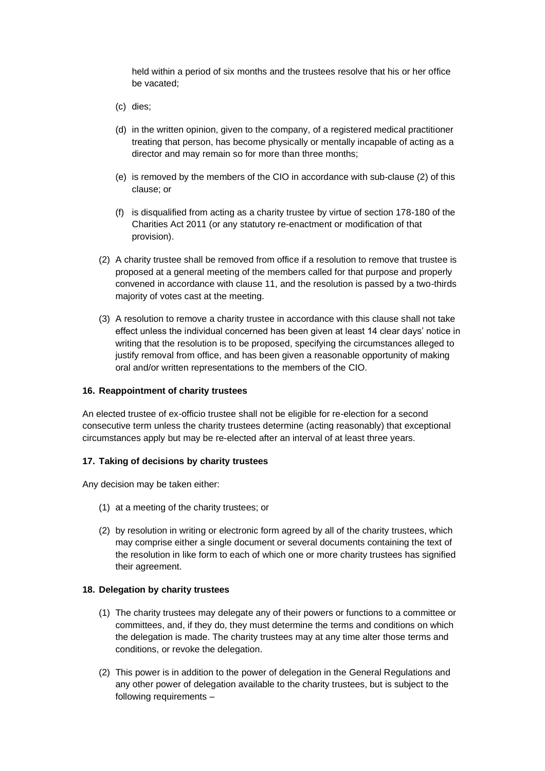held within a period of six months and the trustees resolve that his or her office be vacated;

- (c) dies;
- (d) in the written opinion, given to the company, of a registered medical practitioner treating that person, has become physically or mentally incapable of acting as a director and may remain so for more than three months;
- (e) is removed by the members of the CIO in accordance with sub-clause (2) of this clause; or
- (f) is disqualified from acting as a charity trustee by virtue of section 178-180 of the Charities Act 2011 (or any statutory re-enactment or modification of that provision).
- (2) A charity trustee shall be removed from office if a resolution to remove that trustee is proposed at a general meeting of the members called for that purpose and properly convened in accordance with clause 11, and the resolution is passed by a two-thirds majority of votes cast at the meeting.
- (3) A resolution to remove a charity trustee in accordance with this clause shall not take effect unless the individual concerned has been given at least 14 clear days' notice in writing that the resolution is to be proposed, specifying the circumstances alleged to justify removal from office, and has been given a reasonable opportunity of making oral and/or written representations to the members of the CIO.

## **16. Reappointment of charity trustees**

An elected trustee of ex-officio trustee shall not be eligible for re-election for a second consecutive term unless the charity trustees determine (acting reasonably) that exceptional circumstances apply but may be re-elected after an interval of at least three years.

#### **17. Taking of decisions by charity trustees**

Any decision may be taken either:

- (1) at a meeting of the charity trustees; or
- (2) by resolution in writing or electronic form agreed by all of the charity trustees, which may comprise either a single document or several documents containing the text of the resolution in like form to each of which one or more charity trustees has signified their agreement.

#### **18. Delegation by charity trustees**

- (1) The charity trustees may delegate any of their powers or functions to a committee or committees, and, if they do, they must determine the terms and conditions on which the delegation is made. The charity trustees may at any time alter those terms and conditions, or revoke the delegation.
- (2) This power is in addition to the power of delegation in the General Regulations and any other power of delegation available to the charity trustees, but is subject to the following requirements –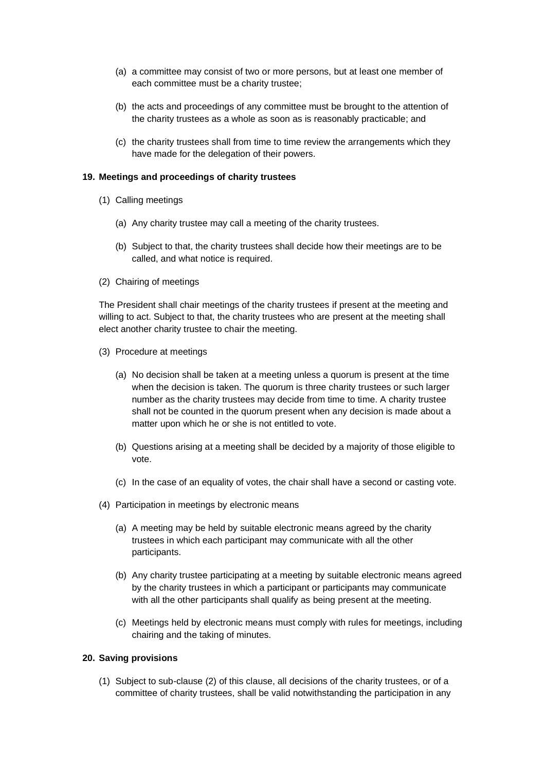- (a) a committee may consist of two or more persons, but at least one member of each committee must be a charity trustee;
- (b) the acts and proceedings of any committee must be brought to the attention of the charity trustees as a whole as soon as is reasonably practicable; and
- (c) the charity trustees shall from time to time review the arrangements which they have made for the delegation of their powers.

#### **19. Meetings and proceedings of charity trustees**

- (1) Calling meetings
	- (a) Any charity trustee may call a meeting of the charity trustees.
	- (b) Subject to that, the charity trustees shall decide how their meetings are to be called, and what notice is required.
- (2) Chairing of meetings

The President shall chair meetings of the charity trustees if present at the meeting and willing to act. Subject to that, the charity trustees who are present at the meeting shall elect another charity trustee to chair the meeting.

- (3) Procedure at meetings
	- (a) No decision shall be taken at a meeting unless a quorum is present at the time when the decision is taken. The quorum is three charity trustees or such larger number as the charity trustees may decide from time to time. A charity trustee shall not be counted in the quorum present when any decision is made about a matter upon which he or she is not entitled to vote.
	- (b) Questions arising at a meeting shall be decided by a majority of those eligible to vote.
	- (c) In the case of an equality of votes, the chair shall have a second or casting vote.
- (4) Participation in meetings by electronic means
	- (a) A meeting may be held by suitable electronic means agreed by the charity trustees in which each participant may communicate with all the other participants.
	- (b) Any charity trustee participating at a meeting by suitable electronic means agreed by the charity trustees in which a participant or participants may communicate with all the other participants shall qualify as being present at the meeting.
	- (c) Meetings held by electronic means must comply with rules for meetings, including chairing and the taking of minutes.

### **20. Saving provisions**

(1) Subject to sub-clause (2) of this clause, all decisions of the charity trustees, or of a committee of charity trustees, shall be valid notwithstanding the participation in any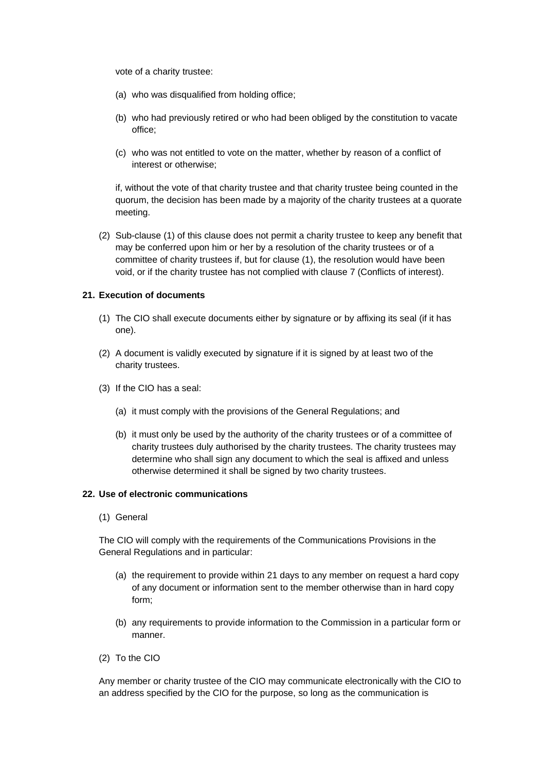vote of a charity trustee:

- (a) who was disqualified from holding office;
- (b) who had previously retired or who had been obliged by the constitution to vacate office;
- (c) who was not entitled to vote on the matter, whether by reason of a conflict of interest or otherwise;

if, without the vote of that charity trustee and that charity trustee being counted in the quorum, the decision has been made by a majority of the charity trustees at a quorate meeting.

(2) Sub-clause (1) of this clause does not permit a charity trustee to keep any benefit that may be conferred upon him or her by a resolution of the charity trustees or of a committee of charity trustees if, but for clause (1), the resolution would have been void, or if the charity trustee has not complied with clause 7 (Conflicts of interest).

## **21. Execution of documents**

- (1) The CIO shall execute documents either by signature or by affixing its seal (if it has one).
- (2) A document is validly executed by signature if it is signed by at least two of the charity trustees.
- (3) If the CIO has a seal:
	- (a) it must comply with the provisions of the General Regulations; and
	- (b) it must only be used by the authority of the charity trustees or of a committee of charity trustees duly authorised by the charity trustees. The charity trustees may determine who shall sign any document to which the seal is affixed and unless otherwise determined it shall be signed by two charity trustees.

#### **22. Use of electronic communications**

(1) General

The CIO will comply with the requirements of the Communications Provisions in the General Regulations and in particular:

- (a) the requirement to provide within 21 days to any member on request a hard copy of any document or information sent to the member otherwise than in hard copy form;
- (b) any requirements to provide information to the Commission in a particular form or manner.
- (2) To the CIO

Any member or charity trustee of the CIO may communicate electronically with the CIO to an address specified by the CIO for the purpose, so long as the communication is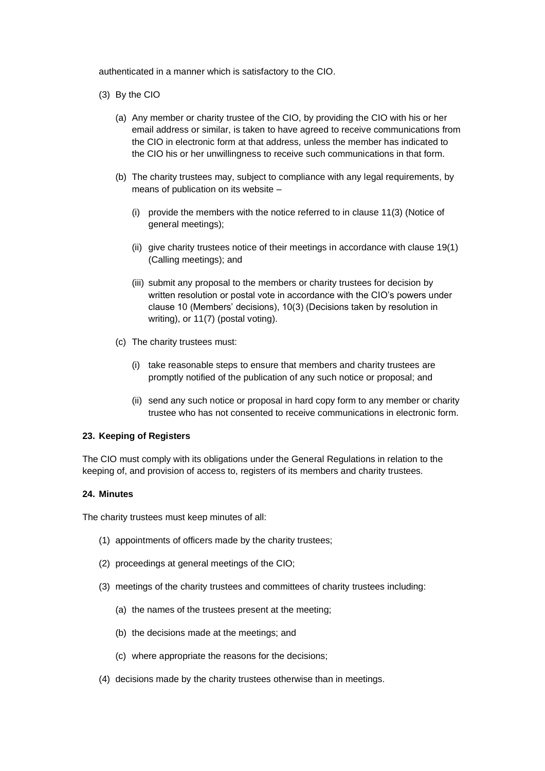authenticated in a manner which is satisfactory to the CIO.

- (3) By the CIO
	- (a) Any member or charity trustee of the CIO, by providing the CIO with his or her email address or similar, is taken to have agreed to receive communications from the CIO in electronic form at that address, unless the member has indicated to the CIO his or her unwillingness to receive such communications in that form.
	- (b) The charity trustees may, subject to compliance with any legal requirements, by means of publication on its website –
		- (i) provide the members with the notice referred to in clause 11(3) (Notice of general meetings);
		- (ii) give charity trustees notice of their meetings in accordance with clause 19(1) (Calling meetings); and
		- (iii) submit any proposal to the members or charity trustees for decision by written resolution or postal vote in accordance with the CIO's powers under clause 10 (Members' decisions), 10(3) (Decisions taken by resolution in writing), or 11(7) (postal voting).
	- (c) The charity trustees must:
		- (i) take reasonable steps to ensure that members and charity trustees are promptly notified of the publication of any such notice or proposal; and
		- (ii) send any such notice or proposal in hard copy form to any member or charity trustee who has not consented to receive communications in electronic form.

## **23. Keeping of Registers**

The CIO must comply with its obligations under the General Regulations in relation to the keeping of, and provision of access to, registers of its members and charity trustees.

#### **24. Minutes**

The charity trustees must keep minutes of all:

- (1) appointments of officers made by the charity trustees;
- (2) proceedings at general meetings of the CIO;
- (3) meetings of the charity trustees and committees of charity trustees including:
	- (a) the names of the trustees present at the meeting;
	- (b) the decisions made at the meetings; and
	- (c) where appropriate the reasons for the decisions;
- (4) decisions made by the charity trustees otherwise than in meetings.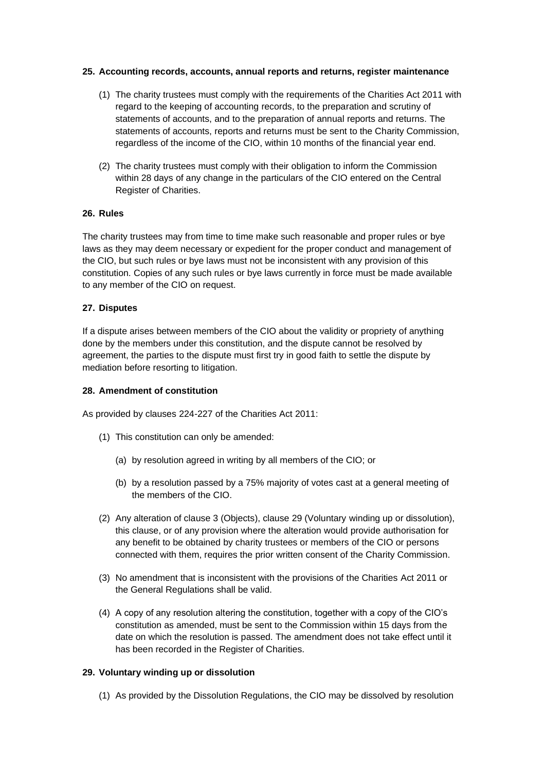### **25. Accounting records, accounts, annual reports and returns, register maintenance**

- (1) The charity trustees must comply with the requirements of the Charities Act 2011 with regard to the keeping of accounting records, to the preparation and scrutiny of statements of accounts, and to the preparation of annual reports and returns. The statements of accounts, reports and returns must be sent to the Charity Commission, regardless of the income of the CIO, within 10 months of the financial year end.
- (2) The charity trustees must comply with their obligation to inform the Commission within 28 days of any change in the particulars of the CIO entered on the Central Register of Charities.

### **26. Rules**

The charity trustees may from time to time make such reasonable and proper rules or bye laws as they may deem necessary or expedient for the proper conduct and management of the CIO, but such rules or bye laws must not be inconsistent with any provision of this constitution. Copies of any such rules or bye laws currently in force must be made available to any member of the CIO on request.

### **27. Disputes**

If a dispute arises between members of the CIO about the validity or propriety of anything done by the members under this constitution, and the dispute cannot be resolved by agreement, the parties to the dispute must first try in good faith to settle the dispute by mediation before resorting to litigation.

#### **28. Amendment of constitution**

As provided by clauses 224-227 of the Charities Act 2011:

- (1) This constitution can only be amended:
	- (a) by resolution agreed in writing by all members of the CIO; or
	- (b) by a resolution passed by a 75% majority of votes cast at a general meeting of the members of the CIO.
- (2) Any alteration of clause 3 (Objects), clause 29 (Voluntary winding up or dissolution), this clause, or of any provision where the alteration would provide authorisation for any benefit to be obtained by charity trustees or members of the CIO or persons connected with them, requires the prior written consent of the Charity Commission.
- (3) No amendment that is inconsistent with the provisions of the Charities Act 2011 or the General Regulations shall be valid.
- (4) A copy of any resolution altering the constitution, together with a copy of the CIO's constitution as amended, must be sent to the Commission within 15 days from the date on which the resolution is passed. The amendment does not take effect until it has been recorded in the Register of Charities.

#### **29. Voluntary winding up or dissolution**

(1) As provided by the Dissolution Regulations, the CIO may be dissolved by resolution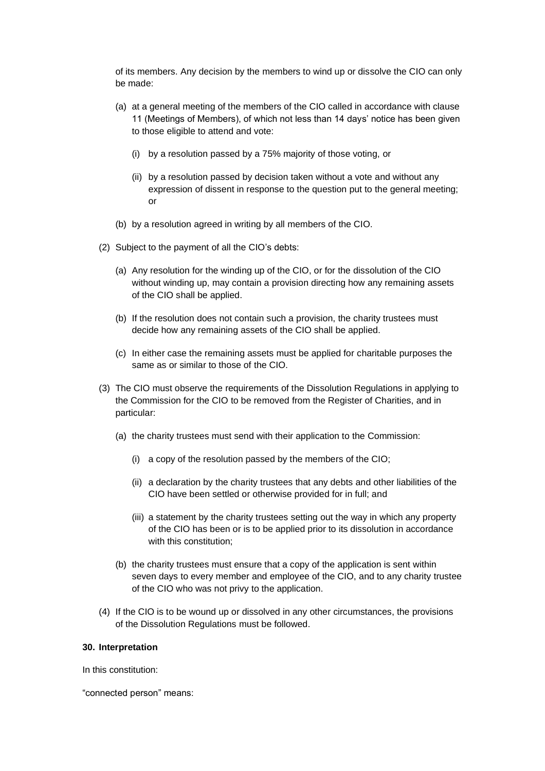of its members. Any decision by the members to wind up or dissolve the CIO can only be made:

- (a) at a general meeting of the members of the CIO called in accordance with clause 11 (Meetings of Members), of which not less than 14 days' notice has been given to those eligible to attend and vote:
	- (i) by a resolution passed by a 75% majority of those voting, or
	- (ii) by a resolution passed by decision taken without a vote and without any expression of dissent in response to the question put to the general meeting; or
- (b) by a resolution agreed in writing by all members of the CIO.
- (2) Subject to the payment of all the CIO's debts:
	- (a) Any resolution for the winding up of the CIO, or for the dissolution of the CIO without winding up, may contain a provision directing how any remaining assets of the CIO shall be applied.
	- (b) If the resolution does not contain such a provision, the charity trustees must decide how any remaining assets of the CIO shall be applied.
	- (c) In either case the remaining assets must be applied for charitable purposes the same as or similar to those of the CIO.
- (3) The CIO must observe the requirements of the Dissolution Regulations in applying to the Commission for the CIO to be removed from the Register of Charities, and in particular:
	- (a) the charity trustees must send with their application to the Commission:
		- (i) a copy of the resolution passed by the members of the CIO;
		- (ii) a declaration by the charity trustees that any debts and other liabilities of the CIO have been settled or otherwise provided for in full; and
		- (iii) a statement by the charity trustees setting out the way in which any property of the CIO has been or is to be applied prior to its dissolution in accordance with this constitution;
	- (b) the charity trustees must ensure that a copy of the application is sent within seven days to every member and employee of the CIO, and to any charity trustee of the CIO who was not privy to the application.
- (4) If the CIO is to be wound up or dissolved in any other circumstances, the provisions of the Dissolution Regulations must be followed.

### **30. Interpretation**

In this constitution:

"connected person" means: